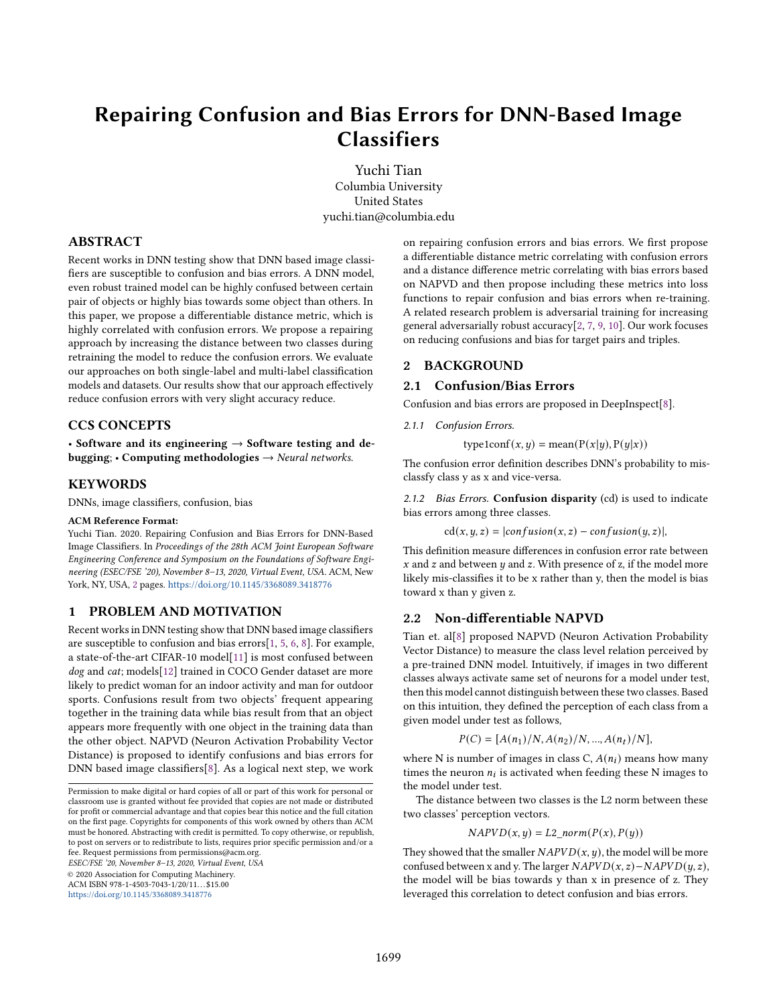# Repairing Confusion and Bias Errors for DNN-Based Image **Classifiers**

Yuchi Tian Columbia University United States yuchi.tian@columbia.edu

# ABSTRACT

Recent works in DNN testing show that DNN based image classifiers are susceptible to confusion and bias errors. A DNN model, even robust trained model can be highly confused between certain pair of objects or highly bias towards some object than others. In this paper, we propose a differentiable distance metric, which is highly correlated with confusion errors. We propose a repairing approach by increasing the distance between two classes during retraining the model to reduce the confusion errors. We evaluate our approaches on both single-label and multi-label classification models and datasets. Our results show that our approach effectively reduce confusion errors with very slight accuracy reduce.

# CCS CONCEPTS

• Software and its engineering  $\rightarrow$  Software testing and debugging;  $\cdot$  Computing methodologies  $\rightarrow$  Neural networks.

## **KEYWORDS**

DNNs, image classifiers, confusion, bias

#### ACM Reference Format:

Yuchi Tian. 2020. Repairing Confusion and Bias Errors for DNN-Based Image Classifiers. In Proceedings of the 28th ACM Joint European Software Engineering Conference and Symposium on the Foundations of Software Engineering (ESEC/FSE '20), November 8–13, 2020, Virtual Event, USA. ACM, New York, NY, USA, [2](#page-1-0) pages. <https://doi.org/10.1145/3368089.3418776>

# 1 PROBLEM AND MOTIVATION

Recent works in DNN testing show that DNN based image classifiers are susceptible to confusion and bias errors[\[1,](#page-1-1) [5,](#page-1-2) [6,](#page-1-3) [8\]](#page-1-4). For example, a state-of-the-art CIFAR-10 model[\[11\]](#page-1-5) is most confused between dog and cat; models[\[12\]](#page-1-6) trained in COCO Gender dataset are more likely to predict woman for an indoor activity and man for outdoor sports. Confusions result from two objects' frequent appearing together in the training data while bias result from that an object appears more frequently with one object in the training data than the other object. NAPVD (Neuron Activation Probability Vector Distance) is proposed to identify confusions and bias errors for DNN based image classifiers[\[8\]](#page-1-4). As a logical next step, we work

ESEC/FSE '20, November 8–13, 2020, Virtual Event, USA

© 2020 Association for Computing Machinery.

ACM ISBN 978-1-4503-7043-1/20/11...\$15.00

<https://doi.org/10.1145/3368089.3418776>

on repairing confusion errors and bias errors. We first propose a differentiable distance metric correlating with confusion errors and a distance difference metric correlating with bias errors based on NAPVD and then propose including these metrics into loss functions to repair confusion and bias errors when re-training. A related research problem is adversarial training for increasing general adversarially robust accuracy[\[2,](#page-1-7) [7,](#page-1-8) [9,](#page-1-9) [10\]](#page-1-10). Our work focuses on reducing confusions and bias for target pairs and triples.

# 2 BACKGROUND

#### 2.1 Confusion/Bias Errors

Confusion and bias errors are proposed in DeepInspect[\[8\]](#page-1-4).

2.1.1 Confusion Errors.

type1conf(x, y) = mean( $P(x|y)$ ,  $P(y|x)$ )

The confusion error definition describes DNN's probability to misclassfy class y as x and vice-versa.

2.1.2 Bias Errors. Confusion disparity (cd) is used to indicate bias errors among three classes.

$$
cd(x, y, z) = |confusion(x, z) - confusion(y, z)|,
$$

This definition measure differences in confusion error rate between  $x$  and  $z$  and between  $y$  and  $z$ . With presence of  $z$ , if the model more likely mis-classifies it to be x rather than y, then the model is bias toward x than y given z.

#### 2.2 Non-differentiable NAPVD

Tian et. al[\[8\]](#page-1-4) proposed NAPVD (Neuron Activation Probability Vector Distance) to measure the class level relation perceived by a pre-trained DNN model. Intuitively, if images in two different classes always activate same set of neurons for a model under test, then this model cannot distinguish between these two classes. Based on this intuition, they defined the perception of each class from a given model under test as follows,

$$
P(C) = [A(n_1)/N, A(n_2)/N, ..., A(n_t)/N],
$$

where N is number of images in class C,  $A(n_i)$  means how many times the neuron  $n_i$  is activated when feeding these N images to the model under test.

The distance between two classes is the L2 norm between these two classes' perception vectors.

$$
NAPVD(x, y) = L2\_norm(P(x), P(y))
$$

They showed that the smaller  $NAPVD(x, y)$ , the model will be more confused between x and y. The larger  $NAPVD(x, z) – NAPVD(y, z)$ , the model will be bias towards y than x in presence of z. They leveraged this correlation to detect confusion and bias errors.

Permission to make digital or hard copies of all or part of this work for personal or classroom use is granted without fee provided that copies are not made or distributed for profit or commercial advantage and that copies bear this notice and the full citation on the first page. Copyrights for components of this work owned by others than ACM must be honored. Abstracting with credit is permitted. To copy otherwise, or republish, to post on servers or to redistribute to lists, requires prior specific permission and/or a fee. Request permissions from permissions@acm.org.